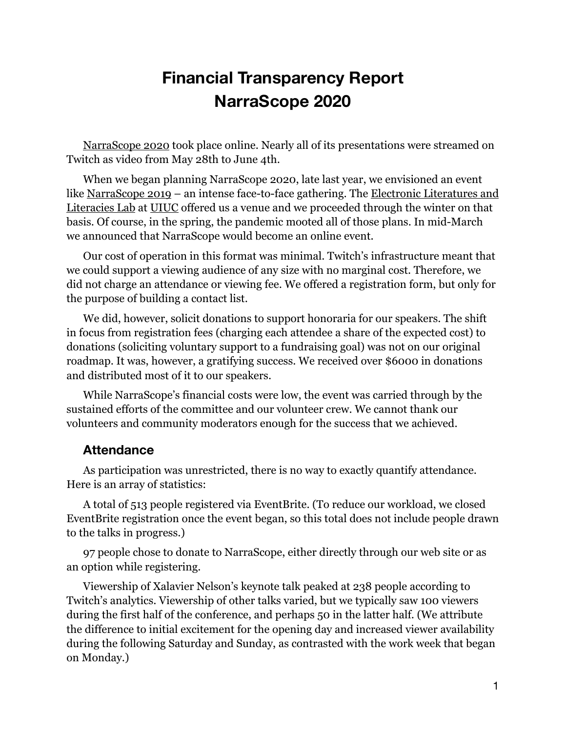## **Financial Transparency Report NarraScope 2020**

[NarraScope 2020](https://2020.narrascope.org/) took place online. Nearly all of its presentations were streamed on Twitch as video from May 28th to June 4th.

When we began planning NarraScope 2020, late last year, we envisioned an event like [NarraScope 2019](https://2019.narrascope.org/) – an intense face-to-face gathering. The Electronic Literatures and [Literacies Lab](https://el3.judithpintar.com/) at [UIUC](https://illinois.edu/) offered us a venue and we proceeded through the winter on that basis. Of course, in the spring, the pandemic mooted all of those plans. In mid-March we announced that NarraScope would become an online event.

Our cost of operation in this format was minimal. Twitch's infrastructure meant that we could support a viewing audience of any size with no marginal cost. Therefore, we did not charge an attendance or viewing fee. We offered a registration form, but only for the purpose of building a contact list.

We did, however, solicit donations to support honoraria for our speakers. The shift in focus from registration fees (charging each attendee a share of the expected cost) to donations (soliciting voluntary support to a fundraising goal) was not on our original roadmap. It was, however, a gratifying success. We received over \$6000 in donations and distributed most of it to our speakers.

While NarraScope's financial costs were low, the event was carried through by the sustained efforts of the committee and our volunteer crew. We cannot thank our volunteers and community moderators enough for the success that we achieved.

## **Attendance**

As participation was unrestricted, there is no way to exactly quantify attendance. Here is an array of statistics:

A total of 513 people registered via EventBrite. (To reduce our workload, we closed EventBrite registration once the event began, so this total does not include people drawn to the talks in progress.)

97 people chose to donate to NarraScope, either directly through our web site or as an option while registering.

Viewership of Xalavier Nelson's keynote talk peaked at 238 people according to Twitch's analytics. Viewership of other talks varied, but we typically saw 100 viewers during the first half of the conference, and perhaps 50 in the latter half. (We attribute the difference to initial excitement for the opening day and increased viewer availability during the following Saturday and Sunday, as contrasted with the work week that began on Monday.)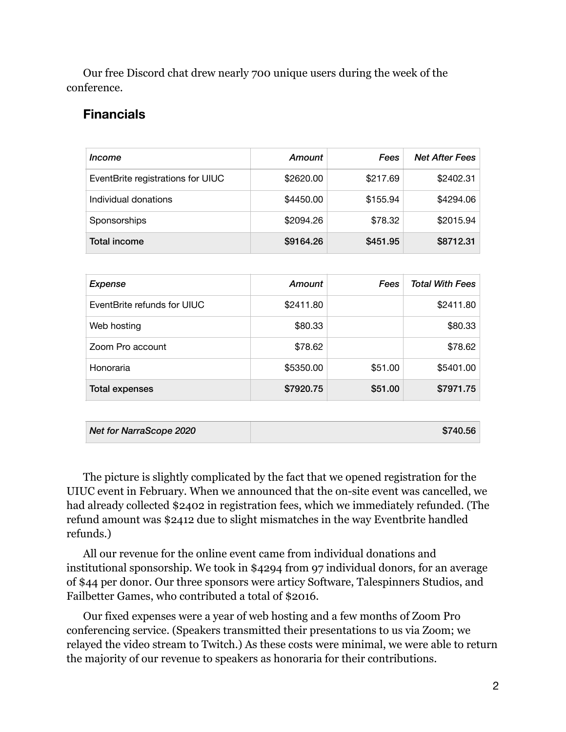Our free Discord chat drew nearly 700 unique users during the week of the conference.

## **Financials**

| Income                            | Amount    | Fees     | <b>Net After Fees</b> |
|-----------------------------------|-----------|----------|-----------------------|
| EventBrite registrations for UIUC | \$2620.00 | \$217.69 | \$2402.31             |
| Individual donations              | \$4450.00 | \$155.94 | \$4294.06             |
| Sponsorships                      | \$2094.26 | \$78.32  | \$2015.94             |
| Total income                      | \$9164.26 | \$451.95 | \$8712.31             |

| Expense                     | Amount    | Fees    | <b>Total With Fees</b> |
|-----------------------------|-----------|---------|------------------------|
| EventBrite refunds for UIUC | \$2411.80 |         | \$2411.80              |
| Web hosting                 | \$80.33   |         | \$80.33                |
| Zoom Pro account            | \$78.62   |         | \$78.62                |
| Honoraria                   | \$5350.00 | \$51.00 | \$5401.00              |
| Total expenses              | \$7920.75 | \$51.00 | \$7971.75              |

| Net for NarraScope 2020 | \$740.56 |
|-------------------------|----------|
|-------------------------|----------|

The picture is slightly complicated by the fact that we opened registration for the UIUC event in February. When we announced that the on-site event was cancelled, we had already collected \$2402 in registration fees, which we immediately refunded. (The refund amount was \$2412 due to slight mismatches in the way Eventbrite handled refunds.)

All our revenue for the online event came from individual donations and institutional sponsorship. We took in \$4294 from 97 individual donors, for an average of \$44 per donor. Our three sponsors were articy Software, Talespinners Studios, and Failbetter Games, who contributed a total of \$2016.

Our fixed expenses were a year of web hosting and a few months of Zoom Pro conferencing service. (Speakers transmitted their presentations to us via Zoom; we relayed the video stream to Twitch.) As these costs were minimal, we were able to return the majority of our revenue to speakers as honoraria for their contributions.